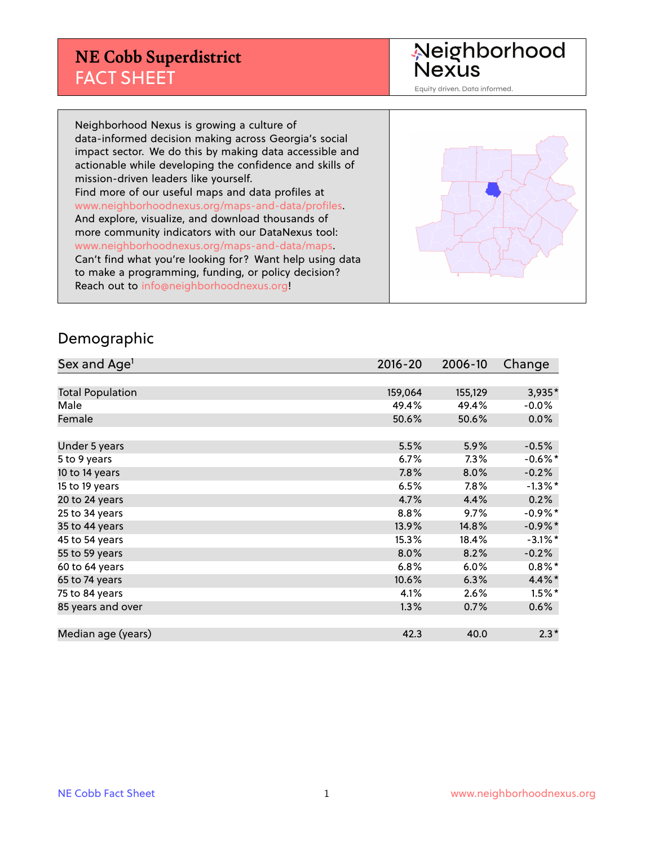#### **NE Cobb Superdistrict** FACT SHEET

Neighborhood<br>Nexus

Equity driven. Data informed.

Neighborhood Nexus is growing a culture of data-informed decision making across Georgia's social impact sector. We do this by making data accessible and actionable while developing the confidence and skills of mission-driven leaders like yourself. Find more of our useful maps and data profiles at www.neighborhoodnexus.org/maps-and-data/profiles. And explore, visualize, and download thousands of more community indicators with our DataNexus tool: www.neighborhoodnexus.org/maps-and-data/maps. Can't find what you're looking for? Want help using data to make a programming, funding, or policy decision? Reach out to [info@neighborhoodnexus.org!](mailto:info@neighborhoodnexus.org)



#### Demographic

| Sex and Age <sup>1</sup> | $2016 - 20$ | 2006-10 | Change     |
|--------------------------|-------------|---------|------------|
|                          |             |         |            |
| <b>Total Population</b>  | 159,064     | 155,129 | 3,935*     |
| Male                     | 49.4%       | 49.4%   | $-0.0\%$   |
| Female                   | 50.6%       | 50.6%   | $0.0\%$    |
|                          |             |         |            |
| Under 5 years            | 5.5%        | 5.9%    | $-0.5%$    |
| 5 to 9 years             | 6.7%        | 7.3%    | $-0.6%$ *  |
| 10 to 14 years           | 7.8%        | 8.0%    | $-0.2%$    |
| 15 to 19 years           | 6.5%        | 7.8%    | $-1.3\%$ * |
| 20 to 24 years           | 4.7%        | 4.4%    | 0.2%       |
| 25 to 34 years           | 8.8%        | 9.7%    | $-0.9\%$ * |
| 35 to 44 years           | 13.9%       | 14.8%   | $-0.9\%$ * |
| 45 to 54 years           | 15.3%       | 18.4%   | $-3.1\%$ * |
| 55 to 59 years           | 8.0%        | 8.2%    | $-0.2%$    |
| 60 to 64 years           | 6.8%        | 6.0%    | $0.8\%$ *  |
| 65 to 74 years           | 10.6%       | 6.3%    | 4.4%*      |
| 75 to 84 years           | 4.1%        | 2.6%    | $1.5\%$ *  |
| 85 years and over        | 1.3%        | 0.7%    | $0.6\%$    |
|                          |             |         |            |
| Median age (years)       | 42.3        | 40.0    | $2.3*$     |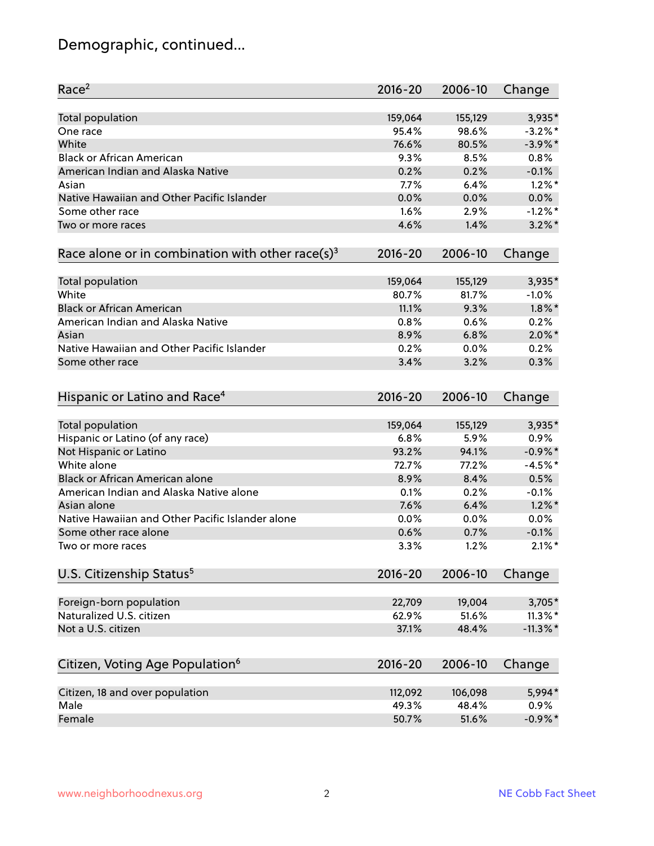## Demographic, continued...

| Race <sup>2</sup>                                            | $2016 - 20$ | 2006-10 | Change      |
|--------------------------------------------------------------|-------------|---------|-------------|
| <b>Total population</b>                                      | 159,064     | 155,129 | 3,935*      |
| One race                                                     | 95.4%       | 98.6%   | $-3.2\%$ *  |
| White                                                        | 76.6%       | 80.5%   | $-3.9\%$ *  |
| <b>Black or African American</b>                             | 9.3%        | 8.5%    | 0.8%        |
| American Indian and Alaska Native                            | 0.2%        | 0.2%    | $-0.1%$     |
| Asian                                                        | 7.7%        | 6.4%    | $1.2\%$ *   |
| Native Hawaiian and Other Pacific Islander                   | 0.0%        | 0.0%    | 0.0%        |
| Some other race                                              | 1.6%        | 2.9%    | $-1.2%$ *   |
| Two or more races                                            | 4.6%        | 1.4%    | $3.2\%$ *   |
| Race alone or in combination with other race(s) <sup>3</sup> | $2016 - 20$ | 2006-10 | Change      |
| <b>Total population</b>                                      | 159,064     | 155,129 | 3,935*      |
| White                                                        | 80.7%       | 81.7%   | $-1.0%$     |
| <b>Black or African American</b>                             | 11.1%       | 9.3%    | $1.8\%$ *   |
| American Indian and Alaska Native                            | 0.8%        | 0.6%    | 0.2%        |
| Asian                                                        | 8.9%        | 6.8%    | $2.0\%$ *   |
| Native Hawaiian and Other Pacific Islander                   | 0.2%        | 0.0%    | 0.2%        |
| Some other race                                              | 3.4%        | 3.2%    | 0.3%        |
| Hispanic or Latino and Race <sup>4</sup>                     | $2016 - 20$ | 2006-10 | Change      |
| Total population                                             | 159,064     | 155,129 | 3,935*      |
| Hispanic or Latino (of any race)                             | 6.8%        | 5.9%    | 0.9%        |
| Not Hispanic or Latino                                       | 93.2%       | 94.1%   | $-0.9\%$ *  |
| White alone                                                  | 72.7%       | 77.2%   | $-4.5%$ *   |
| Black or African American alone                              | 8.9%        | 8.4%    | 0.5%        |
| American Indian and Alaska Native alone                      | 0.1%        | 0.2%    | $-0.1%$     |
| Asian alone                                                  | 7.6%        | 6.4%    | $1.2\%$ *   |
| Native Hawaiian and Other Pacific Islander alone             | 0.0%        | 0.0%    | $0.0\%$     |
| Some other race alone                                        | 0.6%        | 0.7%    | $-0.1%$     |
| Two or more races                                            | 3.3%        | 1.2%    | $2.1\%$ *   |
| U.S. Citizenship Status <sup>5</sup>                         | $2016 - 20$ | 2006-10 | Change      |
| Foreign-born population                                      | 22,709      | 19,004  | $3,705*$    |
| Naturalized U.S. citizen                                     | 62.9%       | 51.6%   | $11.3\%$ *  |
| Not a U.S. citizen                                           | 37.1%       | 48.4%   | $-11.3\%$ * |
|                                                              |             |         |             |
| Citizen, Voting Age Population <sup>6</sup>                  | 2016-20     | 2006-10 | Change      |
| Citizen, 18 and over population                              | 112,092     | 106,098 | 5,994*      |
| Male                                                         | 49.3%       | 48.4%   | 0.9%        |
| Female                                                       | 50.7%       | 51.6%   | $-0.9\%$ *  |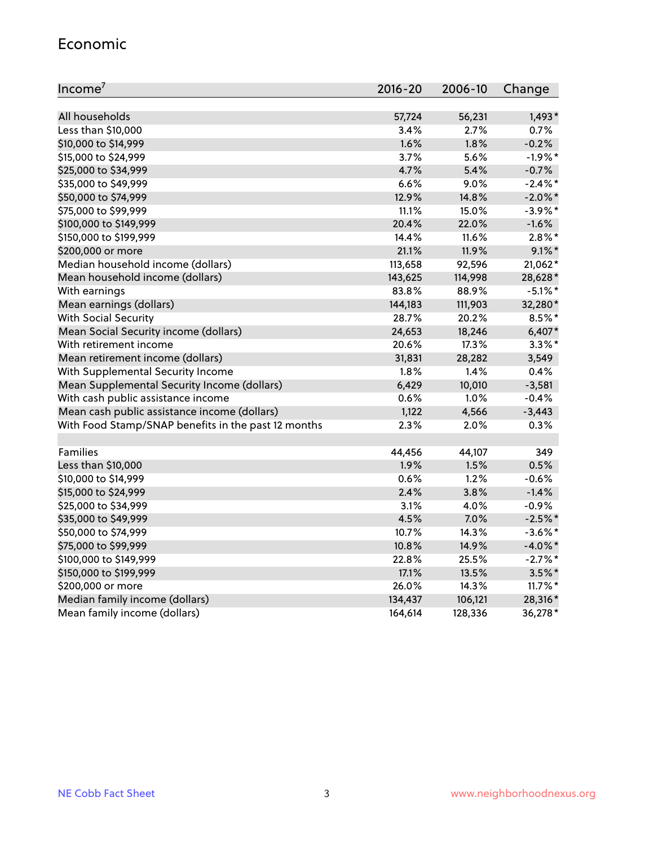#### Economic

| Income <sup>7</sup>                                 | 2016-20 | 2006-10 | Change     |
|-----------------------------------------------------|---------|---------|------------|
|                                                     |         |         |            |
| All households                                      | 57,724  | 56,231  | $1,493*$   |
| Less than \$10,000                                  | 3.4%    | 2.7%    | 0.7%       |
| \$10,000 to \$14,999                                | 1.6%    | 1.8%    | $-0.2%$    |
| \$15,000 to \$24,999                                | 3.7%    | 5.6%    | $-1.9%$ *  |
| \$25,000 to \$34,999                                | 4.7%    | 5.4%    | $-0.7%$    |
| \$35,000 to \$49,999                                | 6.6%    | 9.0%    | $-2.4\%$ * |
| \$50,000 to \$74,999                                | 12.9%   | 14.8%   | $-2.0\%$ * |
| \$75,000 to \$99,999                                | 11.1%   | 15.0%   | $-3.9\%$ * |
| \$100,000 to \$149,999                              | 20.4%   | 22.0%   | $-1.6%$    |
| \$150,000 to \$199,999                              | 14.4%   | 11.6%   | $2.8\%$ *  |
| \$200,000 or more                                   | 21.1%   | 11.9%   | $9.1\%$ *  |
| Median household income (dollars)                   | 113,658 | 92,596  | $21,062*$  |
| Mean household income (dollars)                     | 143,625 | 114,998 | 28,628*    |
| With earnings                                       | 83.8%   | 88.9%   | $-5.1\%$ * |
| Mean earnings (dollars)                             | 144,183 | 111,903 | 32,280*    |
| <b>With Social Security</b>                         | 28.7%   | 20.2%   | $8.5\%$ *  |
| Mean Social Security income (dollars)               | 24,653  | 18,246  | $6,407*$   |
| With retirement income                              | 20.6%   | 17.3%   | $3.3\%$ *  |
| Mean retirement income (dollars)                    | 31,831  | 28,282  | 3,549      |
| With Supplemental Security Income                   | $1.8\%$ | 1.4%    | 0.4%       |
| Mean Supplemental Security Income (dollars)         | 6,429   | 10,010  | $-3,581$   |
| With cash public assistance income                  | 0.6%    | 1.0%    | $-0.4%$    |
| Mean cash public assistance income (dollars)        | 1,122   | 4,566   | $-3,443$   |
| With Food Stamp/SNAP benefits in the past 12 months | 2.3%    | 2.0%    | 0.3%       |
|                                                     |         |         |            |
| Families                                            | 44,456  | 44,107  | 349        |
| Less than \$10,000                                  | 1.9%    | 1.5%    | 0.5%       |
| \$10,000 to \$14,999                                | 0.6%    | 1.2%    | $-0.6%$    |
| \$15,000 to \$24,999                                | 2.4%    | 3.8%    | $-1.4%$    |
| \$25,000 to \$34,999                                | 3.1%    | 4.0%    | $-0.9%$    |
| \$35,000 to \$49,999                                | 4.5%    | 7.0%    | $-2.5%$ *  |
| \$50,000 to \$74,999                                | 10.7%   | 14.3%   | $-3.6\%$ * |
| \$75,000 to \$99,999                                | 10.8%   | 14.9%   | $-4.0\%$ * |
| \$100,000 to \$149,999                              | 22.8%   | 25.5%   | $-2.7%$ *  |
| \$150,000 to \$199,999                              | 17.1%   | 13.5%   | $3.5\%$ *  |
| \$200,000 or more                                   | 26.0%   | 14.3%   | $11.7\%$ * |
| Median family income (dollars)                      | 134,437 | 106,121 | 28,316*    |
| Mean family income (dollars)                        | 164,614 | 128,336 | 36,278*    |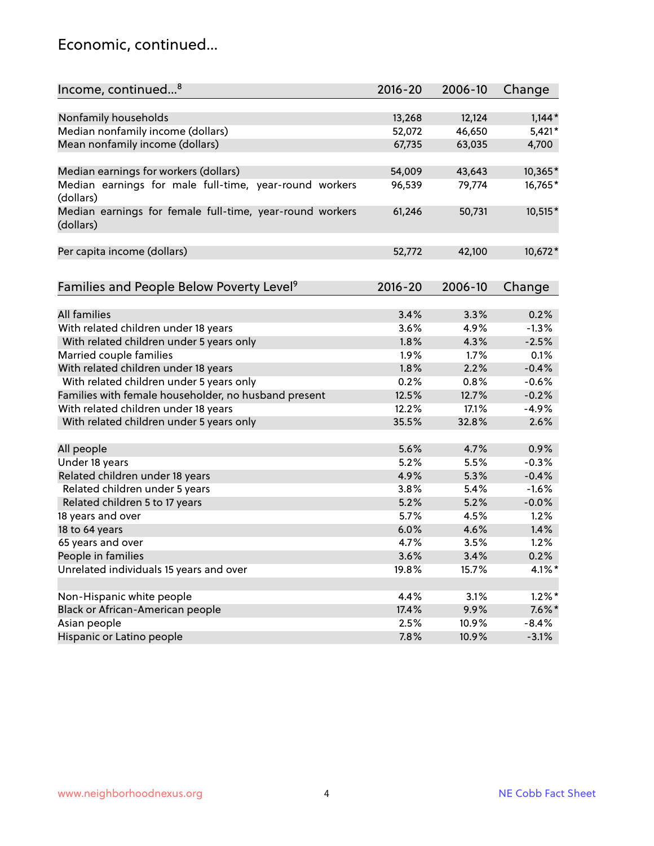#### Economic, continued...

| Nonfamily households<br>13,268<br>12,124<br>$1,144*$<br>Median nonfamily income (dollars)<br>52,072<br>46,650<br>Mean nonfamily income (dollars)<br>67,735<br>63,035<br>4,700 |  | Change    |
|-------------------------------------------------------------------------------------------------------------------------------------------------------------------------------|--|-----------|
|                                                                                                                                                                               |  |           |
|                                                                                                                                                                               |  |           |
|                                                                                                                                                                               |  | $5,421*$  |
|                                                                                                                                                                               |  |           |
| Median earnings for workers (dollars)<br>54,009<br>43,643                                                                                                                     |  | 10,365*   |
| Median earnings for male full-time, year-round workers<br>79,774<br>96,539                                                                                                    |  | 16,765*   |
| (dollars)                                                                                                                                                                     |  |           |
| Median earnings for female full-time, year-round workers<br>61,246<br>50,731<br>(dollars)                                                                                     |  | 10,515*   |
| Per capita income (dollars)<br>52,772<br>42,100                                                                                                                               |  | 10,672*   |
|                                                                                                                                                                               |  |           |
| Families and People Below Poverty Level <sup>9</sup><br>2016-20<br>2006-10<br>Change                                                                                          |  |           |
|                                                                                                                                                                               |  |           |
| <b>All families</b><br>3.4%<br>3.3%<br>0.2%                                                                                                                                   |  |           |
| $-1.3%$<br>With related children under 18 years<br>3.6%<br>4.9%                                                                                                               |  |           |
| With related children under 5 years only<br>1.8%<br>$-2.5%$<br>4.3%                                                                                                           |  |           |
| 1.9%<br>1.7%<br>0.1%<br>Married couple families                                                                                                                               |  |           |
| With related children under 18 years<br>1.8%<br>2.2%<br>$-0.4%$                                                                                                               |  |           |
| With related children under 5 years only<br>0.2%<br>$-0.6%$<br>0.8%                                                                                                           |  |           |
| Families with female householder, no husband present<br>$-0.2%$<br>12.5%<br>12.7%                                                                                             |  |           |
| With related children under 18 years<br>12.2%<br>17.1%<br>$-4.9%$                                                                                                             |  |           |
| With related children under 5 years only<br>35.5%<br>32.8%<br>2.6%                                                                                                            |  |           |
| 0.9%<br>All people<br>5.6%<br>4.7%                                                                                                                                            |  |           |
| $-0.3%$<br>Under 18 years<br>5.2%<br>5.5%                                                                                                                                     |  |           |
| Related children under 18 years<br>4.9%<br>5.3%<br>$-0.4%$                                                                                                                    |  |           |
| Related children under 5 years<br>3.8%<br>$-1.6%$<br>5.4%                                                                                                                     |  |           |
| 5.2%<br>5.2%<br>$-0.0%$<br>Related children 5 to 17 years                                                                                                                     |  |           |
| 5.7%<br>1.2%<br>18 years and over<br>4.5%                                                                                                                                     |  |           |
| 18 to 64 years<br>6.0%<br>4.6%<br>1.4%                                                                                                                                        |  |           |
| 65 years and over<br>4.7%<br>3.5%<br>1.2%                                                                                                                                     |  |           |
| People in families<br>3.6%<br>3.4%<br>0.2%                                                                                                                                    |  |           |
| Unrelated individuals 15 years and over<br>19.8%<br>15.7%                                                                                                                     |  | $4.1\%$ * |
|                                                                                                                                                                               |  |           |
| Non-Hispanic white people<br>4.4%<br>3.1%                                                                                                                                     |  | $1.2\%$ * |
| Black or African-American people<br>17.4%<br>9.9%                                                                                                                             |  | $7.6\%$ * |
| Asian people<br>2.5%<br>10.9%                                                                                                                                                 |  | $-8.4%$   |
| Hispanic or Latino people<br>7.8%<br>10.9%                                                                                                                                    |  | $-3.1%$   |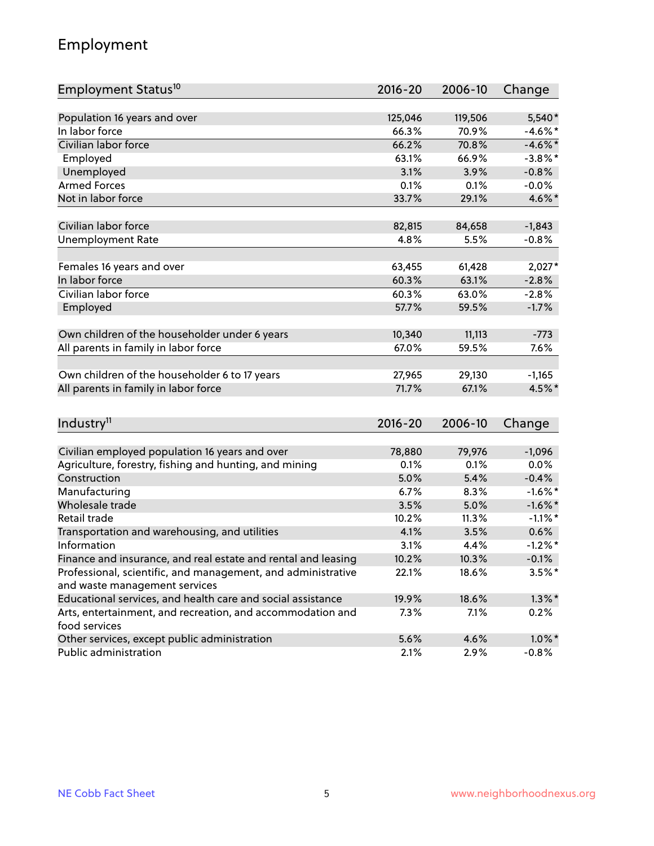## Employment

| Employment Status <sup>10</sup>                               | $2016 - 20$ | 2006-10 | Change     |
|---------------------------------------------------------------|-------------|---------|------------|
|                                                               |             |         |            |
| Population 16 years and over                                  | 125,046     | 119,506 | 5,540*     |
| In labor force                                                | 66.3%       | 70.9%   | $-4.6\%$ * |
| Civilian labor force                                          | 66.2%       | 70.8%   | $-4.6\%$ * |
| Employed                                                      | 63.1%       | 66.9%   | $-3.8\%$ * |
| Unemployed                                                    | 3.1%        | 3.9%    | $-0.8%$    |
| <b>Armed Forces</b>                                           | 0.1%        | 0.1%    | $-0.0%$    |
| Not in labor force                                            | 33.7%       | 29.1%   | 4.6%*      |
| Civilian labor force                                          | 82,815      | 84,658  | $-1,843$   |
| <b>Unemployment Rate</b>                                      | 4.8%        | 5.5%    | $-0.8%$    |
|                                                               |             |         |            |
| Females 16 years and over                                     | 63,455      | 61,428  | $2,027*$   |
| In labor force                                                | 60.3%       | 63.1%   | $-2.8%$    |
| Civilian labor force                                          | 60.3%       | 63.0%   | $-2.8%$    |
| Employed                                                      | 57.7%       | 59.5%   | $-1.7%$    |
|                                                               |             |         |            |
| Own children of the householder under 6 years                 | 10,340      | 11,113  | $-773$     |
| All parents in family in labor force                          | 67.0%       | 59.5%   | 7.6%       |
|                                                               |             |         |            |
| Own children of the householder 6 to 17 years                 | 27,965      | 29,130  | $-1,165$   |
| All parents in family in labor force                          | 71.7%       | 67.1%   | 4.5%*      |
|                                                               |             |         |            |
| Industry <sup>11</sup>                                        | $2016 - 20$ | 2006-10 | Change     |
|                                                               |             |         |            |
| Civilian employed population 16 years and over                | 78,880      | 79,976  | $-1,096$   |
| Agriculture, forestry, fishing and hunting, and mining        | 0.1%        | 0.1%    | 0.0%       |
| Construction                                                  | 5.0%        | 5.4%    | $-0.4%$    |
| Manufacturing                                                 | 6.7%        | 8.3%    | $-1.6\%$ * |
| Wholesale trade                                               | 3.5%        | 5.0%    | $-1.6\%$ * |
| Retail trade                                                  | 10.2%       | 11.3%   | $-1.1\%$ * |
| Transportation and warehousing, and utilities                 | 4.1%        | 3.5%    | 0.6%       |
| Information                                                   | 3.1%        | 4.4%    | $-1.2%$ *  |
| Finance and insurance, and real estate and rental and leasing | 10.2%       | 10.3%   | $-0.1%$    |
| Professional, scientific, and management, and administrative  | 22.1%       | 18.6%   | $3.5%$ *   |
| and waste management services                                 |             |         |            |
| Educational services, and health care and social assistance   | 19.9%       | 18.6%   | $1.3\%$ *  |
| Arts, entertainment, and recreation, and accommodation and    | 7.3%        | 7.1%    | 0.2%       |
| food services                                                 |             |         |            |
| Other services, except public administration                  | 5.6%        | 4.6%    | $1.0\%$ *  |
| Public administration                                         | 2.1%        | 2.9%    | $-0.8%$    |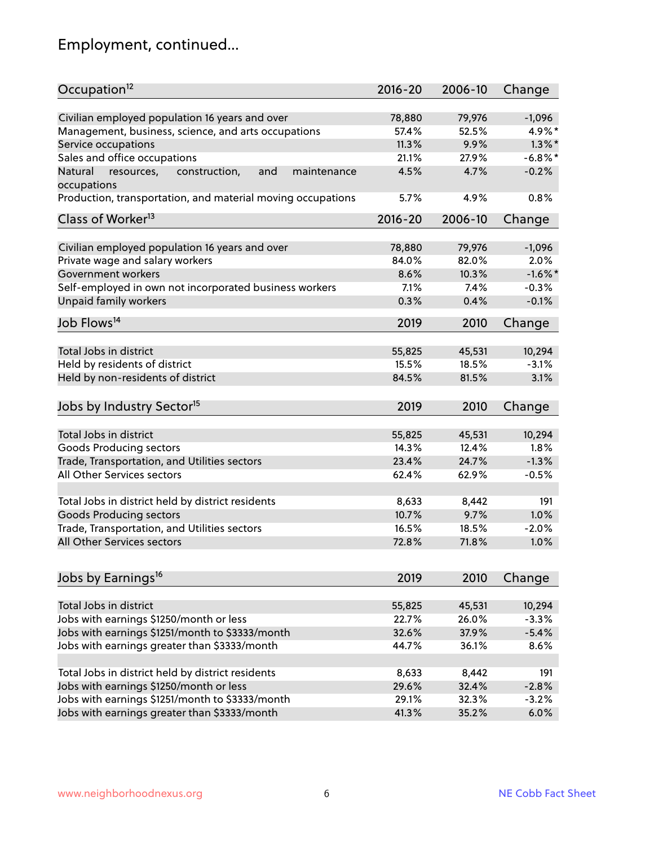## Employment, continued...

| Civilian employed population 16 years and over<br>78,880<br>79,976<br>Management, business, science, and arts occupations<br>52.5%<br>57.4%<br>11.3%<br>9.9%<br>Service occupations<br>Sales and office occupations<br>21.1%<br>27.9%<br>4.7%<br>Natural<br>and<br>maintenance<br>4.5%<br>resources,<br>construction, | $-1,096$<br>4.9%*<br>$1.3\%$ *<br>$-6.8\%$ *<br>$-0.2%$<br>0.8%<br>Change |
|-----------------------------------------------------------------------------------------------------------------------------------------------------------------------------------------------------------------------------------------------------------------------------------------------------------------------|---------------------------------------------------------------------------|
|                                                                                                                                                                                                                                                                                                                       |                                                                           |
|                                                                                                                                                                                                                                                                                                                       |                                                                           |
|                                                                                                                                                                                                                                                                                                                       |                                                                           |
|                                                                                                                                                                                                                                                                                                                       |                                                                           |
|                                                                                                                                                                                                                                                                                                                       |                                                                           |
| occupations                                                                                                                                                                                                                                                                                                           |                                                                           |
| Production, transportation, and material moving occupations<br>5.7%<br>4.9%                                                                                                                                                                                                                                           |                                                                           |
| Class of Worker <sup>13</sup><br>$2016 - 20$<br>2006-10                                                                                                                                                                                                                                                               |                                                                           |
|                                                                                                                                                                                                                                                                                                                       |                                                                           |
| Civilian employed population 16 years and over<br>78,880<br>79,976                                                                                                                                                                                                                                                    | $-1,096$                                                                  |
| Private wage and salary workers<br>84.0%<br>82.0%                                                                                                                                                                                                                                                                     | 2.0%                                                                      |
| Government workers<br>8.6%<br>10.3%                                                                                                                                                                                                                                                                                   | $-1.6\%$ *                                                                |
| Self-employed in own not incorporated business workers<br>7.1%<br>$7.4\%$                                                                                                                                                                                                                                             | $-0.3%$                                                                   |
| Unpaid family workers<br>0.3%<br>0.4%                                                                                                                                                                                                                                                                                 | $-0.1%$                                                                   |
| Job Flows <sup>14</sup><br>2019<br>2010                                                                                                                                                                                                                                                                               | Change                                                                    |
|                                                                                                                                                                                                                                                                                                                       |                                                                           |
| Total Jobs in district<br>55,825<br>45,531                                                                                                                                                                                                                                                                            | 10,294                                                                    |
| Held by residents of district<br>15.5%<br>18.5%                                                                                                                                                                                                                                                                       | $-3.1%$                                                                   |
| Held by non-residents of district<br>84.5%<br>81.5%                                                                                                                                                                                                                                                                   | 3.1%                                                                      |
| Jobs by Industry Sector <sup>15</sup><br>2019<br>2010                                                                                                                                                                                                                                                                 | Change                                                                    |
| Total Jobs in district                                                                                                                                                                                                                                                                                                |                                                                           |
| 55,825<br>45,531                                                                                                                                                                                                                                                                                                      | 10,294                                                                    |
| Goods Producing sectors<br>14.3%<br>12.4%                                                                                                                                                                                                                                                                             | 1.8%                                                                      |
| Trade, Transportation, and Utilities sectors<br>23.4%<br>24.7%                                                                                                                                                                                                                                                        | $-1.3%$                                                                   |
| All Other Services sectors<br>62.4%<br>62.9%                                                                                                                                                                                                                                                                          | $-0.5%$                                                                   |
| Total Jobs in district held by district residents<br>8,633<br>8,442                                                                                                                                                                                                                                                   | 191                                                                       |
| <b>Goods Producing sectors</b><br>9.7%<br>10.7%                                                                                                                                                                                                                                                                       | 1.0%                                                                      |
| Trade, Transportation, and Utilities sectors<br>16.5%<br>18.5%                                                                                                                                                                                                                                                        | $-2.0%$                                                                   |
| All Other Services sectors<br>72.8%<br>71.8%                                                                                                                                                                                                                                                                          | 1.0%                                                                      |
|                                                                                                                                                                                                                                                                                                                       |                                                                           |
| Jobs by Earnings <sup>16</sup><br>2019<br>2010                                                                                                                                                                                                                                                                        | Change                                                                    |
|                                                                                                                                                                                                                                                                                                                       |                                                                           |
| Total Jobs in district<br>55,825<br>45,531                                                                                                                                                                                                                                                                            | 10,294                                                                    |
| Jobs with earnings \$1250/month or less<br>22.7%<br>26.0%                                                                                                                                                                                                                                                             | $-3.3%$                                                                   |
| Jobs with earnings \$1251/month to \$3333/month<br>32.6%<br>37.9%                                                                                                                                                                                                                                                     | $-5.4%$                                                                   |
| Jobs with earnings greater than \$3333/month<br>44.7%<br>36.1%                                                                                                                                                                                                                                                        | 8.6%                                                                      |
| Total Jobs in district held by district residents<br>8,633<br>8,442                                                                                                                                                                                                                                                   | 191                                                                       |
| Jobs with earnings \$1250/month or less<br>32.4%<br>29.6%                                                                                                                                                                                                                                                             | $-2.8%$                                                                   |
| Jobs with earnings \$1251/month to \$3333/month<br>29.1%<br>32.3%                                                                                                                                                                                                                                                     | $-3.2%$                                                                   |
| Jobs with earnings greater than \$3333/month<br>41.3%<br>35.2%                                                                                                                                                                                                                                                        | 6.0%                                                                      |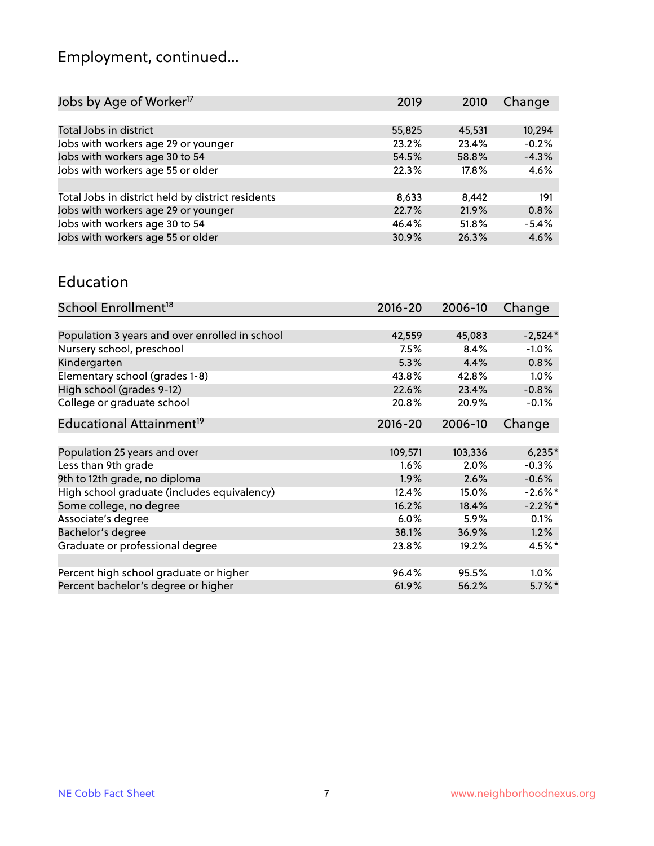# Employment, continued...

| Jobs by Age of Worker <sup>17</sup>               | 2019   | 2010   | Change  |
|---------------------------------------------------|--------|--------|---------|
|                                                   |        |        |         |
| Total Jobs in district                            | 55,825 | 45,531 | 10,294  |
| Jobs with workers age 29 or younger               | 23.2%  | 23.4%  | $-0.2%$ |
| Jobs with workers age 30 to 54                    | 54.5%  | 58.8%  | $-4.3%$ |
| Jobs with workers age 55 or older                 | 22.3%  | 17.8%  | 4.6%    |
|                                                   |        |        |         |
| Total Jobs in district held by district residents | 8,633  | 8.442  | 191     |
| Jobs with workers age 29 or younger               | 22.7%  | 21.9%  | 0.8%    |
| Jobs with workers age 30 to 54                    | 46.4%  | 51.8%  | $-5.4%$ |
| Jobs with workers age 55 or older                 | 30.9%  | 26.3%  | 4.6%    |
|                                                   |        |        |         |

#### Education

| School Enrollment <sup>18</sup>                | $2016 - 20$ | 2006-10 | Change     |
|------------------------------------------------|-------------|---------|------------|
|                                                |             |         |            |
| Population 3 years and over enrolled in school | 42,559      | 45,083  | $-2,524*$  |
| Nursery school, preschool                      | 7.5%        | 8.4%    | $-1.0%$    |
| Kindergarten                                   | 5.3%        | 4.4%    | 0.8%       |
| Elementary school (grades 1-8)                 | 43.8%       | 42.8%   | 1.0%       |
| High school (grades 9-12)                      | 22.6%       | 23.4%   | $-0.8%$    |
| College or graduate school                     | 20.8%       | 20.9%   | $-0.1%$    |
| Educational Attainment <sup>19</sup>           | $2016 - 20$ | 2006-10 | Change     |
|                                                |             |         |            |
| Population 25 years and over                   | 109,571     | 103,336 | $6,235*$   |
| Less than 9th grade                            | $1.6\%$     | 2.0%    | $-0.3%$    |
| 9th to 12th grade, no diploma                  | 1.9%        | 2.6%    | $-0.6%$    |
| High school graduate (includes equivalency)    | 12.4%       | 15.0%   | $-2.6\%$ * |
| Some college, no degree                        | 16.2%       | 18.4%   | $-2.2%$ *  |
| Associate's degree                             | 6.0%        | 5.9%    | 0.1%       |
| Bachelor's degree                              | 38.1%       | 36.9%   | 1.2%       |
| Graduate or professional degree                | 23.8%       | 19.2%   | 4.5%*      |
|                                                |             |         |            |
| Percent high school graduate or higher         | 96.4%       | 95.5%   | $1.0\%$    |
| Percent bachelor's degree or higher            | 61.9%       | 56.2%   | $5.7\%$ *  |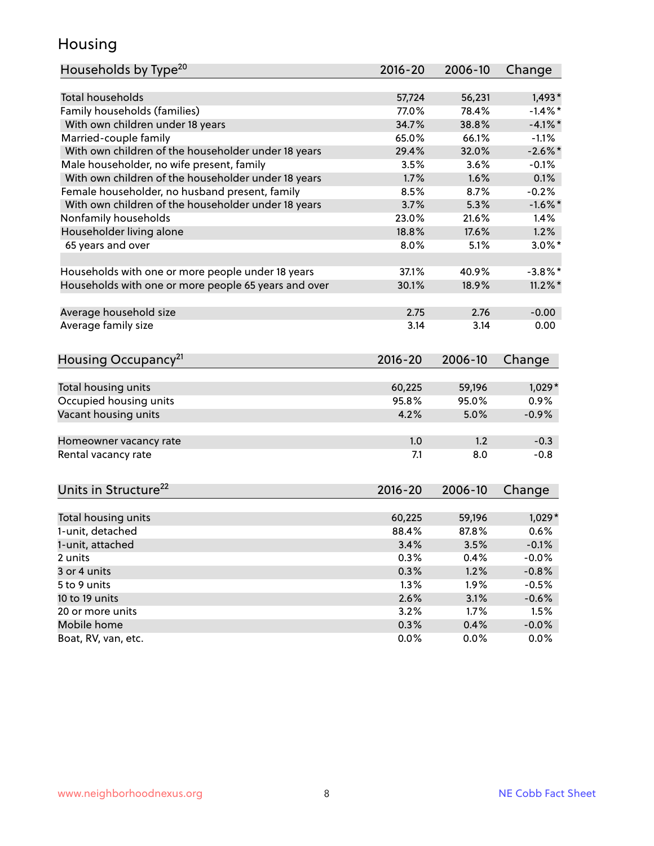#### Housing

| Households by Type <sup>20</sup>                     | 2016-20     | 2006-10 | Change     |
|------------------------------------------------------|-------------|---------|------------|
|                                                      |             |         |            |
| Total households                                     | 57,724      | 56,231  | $1,493*$   |
| Family households (families)                         | 77.0%       | 78.4%   | $-1.4%$ *  |
| With own children under 18 years                     | 34.7%       | 38.8%   | $-4.1\%$ * |
| Married-couple family                                | 65.0%       | 66.1%   | $-1.1%$    |
| With own children of the householder under 18 years  | 29.4%       | 32.0%   | $-2.6\%$ * |
| Male householder, no wife present, family            | 3.5%        | 3.6%    | $-0.1%$    |
| With own children of the householder under 18 years  | 1.7%        | 1.6%    | 0.1%       |
| Female householder, no husband present, family       | 8.5%        | 8.7%    | $-0.2%$    |
| With own children of the householder under 18 years  | 3.7%        | 5.3%    | $-1.6%$ *  |
| Nonfamily households                                 | 23.0%       | 21.6%   | 1.4%       |
| Householder living alone                             | 18.8%       | 17.6%   | 1.2%       |
| 65 years and over                                    | 8.0%        | 5.1%    | $3.0\%$ *  |
| Households with one or more people under 18 years    | 37.1%       | 40.9%   | $-3.8\%$ * |
| Households with one or more people 65 years and over | 30.1%       | 18.9%   | $11.2\%$ * |
| Average household size                               | 2.75        | 2.76    | $-0.00$    |
| Average family size                                  | 3.14        | 3.14    | 0.00       |
|                                                      |             |         |            |
| Housing Occupancy <sup>21</sup>                      | $2016 - 20$ | 2006-10 | Change     |
|                                                      |             |         |            |
| Total housing units                                  | 60,225      | 59,196  | $1,029*$   |
| Occupied housing units                               | 95.8%       | 95.0%   | 0.9%       |
| Vacant housing units                                 | 4.2%        | 5.0%    | $-0.9%$    |
| Homeowner vacancy rate                               | 1.0         | 1.2     | $-0.3$     |
| Rental vacancy rate                                  | 7.1         | 8.0     | $-0.8$     |
|                                                      |             |         |            |
| Units in Structure <sup>22</sup>                     | 2016-20     | 2006-10 | Change     |
| Total housing units                                  | 60,225      | 59,196  | $1,029*$   |
| 1-unit, detached                                     | 88.4%       | 87.8%   | 0.6%       |
| 1-unit, attached                                     | 3.4%        | 3.5%    | $-0.1%$    |
| 2 units                                              | 0.3%        | 0.4%    | $-0.0%$    |
| 3 or 4 units                                         | 0.3%        | 1.2%    | $-0.8%$    |
| 5 to 9 units                                         | 1.3%        | 1.9%    | $-0.5%$    |
| 10 to 19 units                                       | 2.6%        | 3.1%    | $-0.6%$    |
| 20 or more units                                     | 3.2%        | 1.7%    | 1.5%       |
| Mobile home                                          | 0.3%        | 0.4%    | $-0.0\%$   |
| Boat, RV, van, etc.                                  | 0.0%        | $0.0\%$ | 0.0%       |
|                                                      |             |         |            |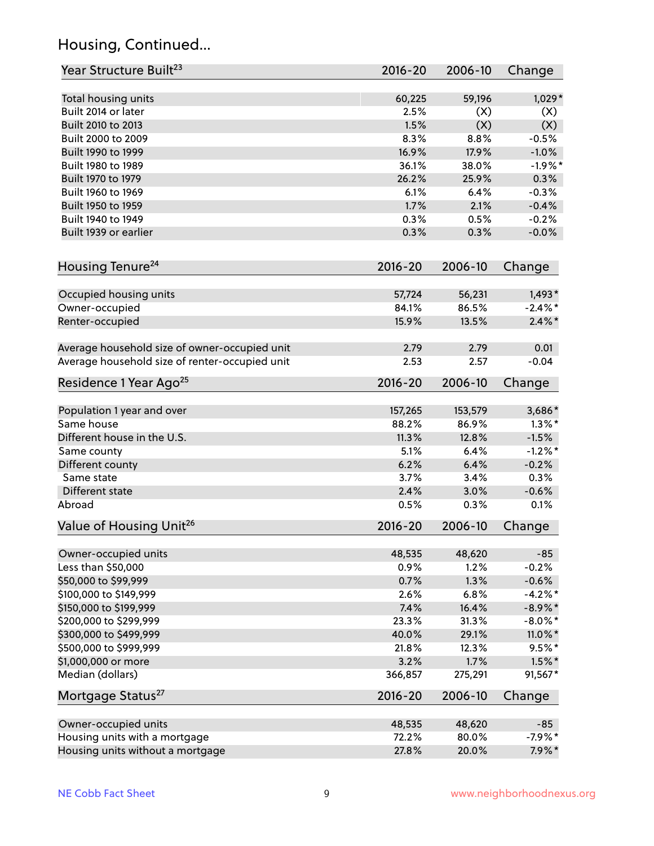## Housing, Continued...

| Year Structure Built <sup>23</sup>             | 2016-20     | 2006-10 | Change     |
|------------------------------------------------|-------------|---------|------------|
| Total housing units                            | 60,225      | 59,196  | $1,029*$   |
| Built 2014 or later                            | 2.5%        | (X)     | (X)        |
| Built 2010 to 2013                             | 1.5%        | (X)     | (X)        |
| Built 2000 to 2009                             | 8.3%        | 8.8%    | $-0.5%$    |
| Built 1990 to 1999                             | 16.9%       | 17.9%   | $-1.0%$    |
| Built 1980 to 1989                             | 36.1%       | 38.0%   | $-1.9%$ *  |
| Built 1970 to 1979                             | 26.2%       | 25.9%   | 0.3%       |
| Built 1960 to 1969                             | 6.1%        | 6.4%    | $-0.3%$    |
| Built 1950 to 1959                             | 1.7%        | 2.1%    | $-0.4%$    |
| Built 1940 to 1949                             | 0.3%        | 0.5%    | $-0.2%$    |
| Built 1939 or earlier                          | 0.3%        | 0.3%    | $-0.0%$    |
| Housing Tenure <sup>24</sup>                   | $2016 - 20$ | 2006-10 | Change     |
|                                                |             |         |            |
| Occupied housing units                         | 57,724      | 56,231  | $1,493*$   |
| Owner-occupied                                 | 84.1%       | 86.5%   | $-2.4\%$ * |
| Renter-occupied                                | 15.9%       | 13.5%   | $2.4\%$ *  |
| Average household size of owner-occupied unit  | 2.79        | 2.79    | 0.01       |
| Average household size of renter-occupied unit | 2.53        | 2.57    | $-0.04$    |
| Residence 1 Year Ago <sup>25</sup>             | $2016 - 20$ | 2006-10 | Change     |
|                                                |             |         |            |
| Population 1 year and over                     | 157,265     | 153,579 | 3,686*     |
| Same house                                     | 88.2%       | 86.9%   | $1.3\%$ *  |
| Different house in the U.S.                    | 11.3%       | 12.8%   | $-1.5%$    |
| Same county                                    | 5.1%        | 6.4%    | $-1.2%$ *  |
| Different county                               | 6.2%        | 6.4%    | $-0.2%$    |
| Same state                                     | 3.7%        | 3.4%    | 0.3%       |
| Different state                                | 2.4%        | 3.0%    | $-0.6%$    |
| Abroad                                         | 0.5%        | 0.3%    | 0.1%       |
| Value of Housing Unit <sup>26</sup>            | $2016 - 20$ | 2006-10 | Change     |
| Owner-occupied units                           | 48,535      | 48,620  | $-85$      |
| Less than \$50,000                             | 0.9%        | 1.2%    | $-0.2%$    |
| \$50,000 to \$99,999                           | 0.7%        | 1.3%    | $-0.6%$    |
| \$100,000 to \$149,999                         | 2.6%        | 6.8%    | $-4.2%$ *  |
| \$150,000 to \$199,999                         | 7.4%        | 16.4%   | $-8.9\%$ * |
| \$200,000 to \$299,999                         | 23.3%       | 31.3%   | $-8.0\%$ * |
| \$300,000 to \$499,999                         | 40.0%       | 29.1%   | 11.0%*     |
| \$500,000 to \$999,999                         | 21.8%       | 12.3%   | $9.5%$ *   |
| \$1,000,000 or more                            | 3.2%        | 1.7%    | $1.5\%$ *  |
| Median (dollars)                               | 366,857     | 275,291 | 91,567*    |
| Mortgage Status <sup>27</sup>                  | $2016 - 20$ | 2006-10 | Change     |
| Owner-occupied units                           | 48,535      | 48,620  | $-85$      |
| Housing units with a mortgage                  | 72.2%       | 80.0%   | $-7.9%$ *  |
| Housing units without a mortgage               | 27.8%       | 20.0%   | $7.9\%*$   |
|                                                |             |         |            |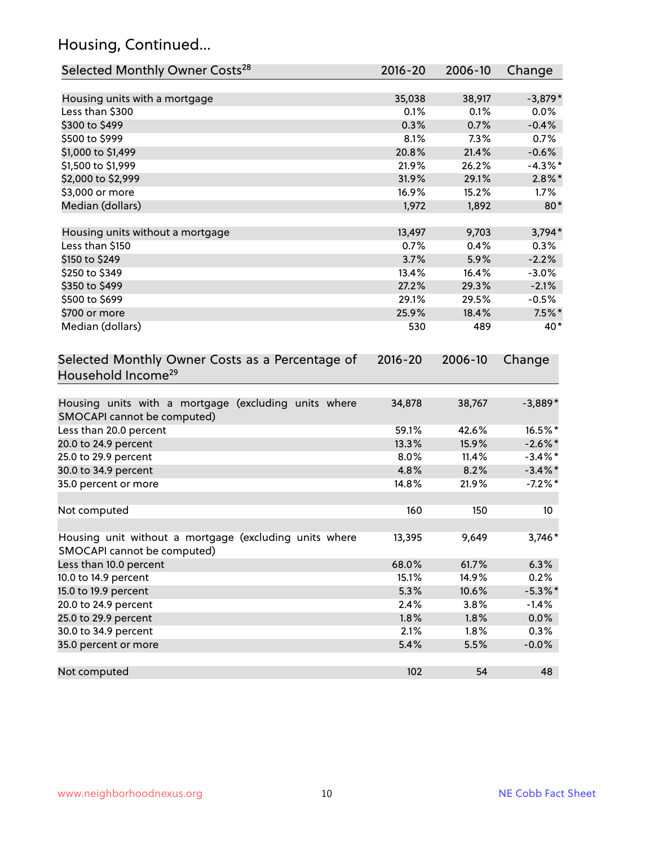## Housing, Continued...

| Selected Monthly Owner Costs <sup>28</sup>                                            | $2016 - 20$ | 2006-10 | Change     |
|---------------------------------------------------------------------------------------|-------------|---------|------------|
| Housing units with a mortgage                                                         | 35,038      | 38,917  | $-3,879*$  |
| Less than \$300                                                                       | 0.1%        | 0.1%    | 0.0%       |
| \$300 to \$499                                                                        | 0.3%        | 0.7%    | $-0.4%$    |
| \$500 to \$999                                                                        | 8.1%        | 7.3%    | 0.7%       |
| \$1,000 to \$1,499                                                                    | 20.8%       | 21.4%   | $-0.6%$    |
| \$1,500 to \$1,999                                                                    | 21.9%       | 26.2%   | $-4.3\%$ * |
| \$2,000 to \$2,999                                                                    | 31.9%       | 29.1%   | $2.8\%$ *  |
| \$3,000 or more                                                                       | 16.9%       | 15.2%   | 1.7%       |
| Median (dollars)                                                                      | 1,972       | 1,892   | $80*$      |
| Housing units without a mortgage                                                      | 13,497      | 9,703   | 3,794*     |
| Less than \$150                                                                       | 0.7%        | 0.4%    | 0.3%       |
| \$150 to \$249                                                                        | 3.7%        | 5.9%    | $-2.2%$    |
| \$250 to \$349                                                                        | 13.4%       | 16.4%   | $-3.0%$    |
| \$350 to \$499                                                                        | 27.2%       | 29.3%   | $-2.1%$    |
| \$500 to \$699                                                                        | 29.1%       | 29.5%   | $-0.5%$    |
| \$700 or more                                                                         | 25.9%       | 18.4%   | $7.5\%$ *  |
| Median (dollars)                                                                      | 530         | 489     | 40*        |
| Selected Monthly Owner Costs as a Percentage of<br>Household Income <sup>29</sup>     | $2016 - 20$ | 2006-10 | Change     |
| Housing units with a mortgage (excluding units where<br>SMOCAPI cannot be computed)   | 34,878      | 38,767  | $-3,889*$  |
| Less than 20.0 percent                                                                | 59.1%       | 42.6%   | 16.5%*     |
| 20.0 to 24.9 percent                                                                  | 13.3%       | 15.9%   | $-2.6\%$ * |
| 25.0 to 29.9 percent                                                                  | 8.0%        | 11.4%   | $-3.4\%$ * |
| 30.0 to 34.9 percent                                                                  | 4.8%        | 8.2%    | $-3.4\%$ * |
| 35.0 percent or more                                                                  | 14.8%       | 21.9%   | $-7.2\%$ * |
| Not computed                                                                          | 160         | 150     | 10         |
| Housing unit without a mortgage (excluding units where<br>SMOCAPI cannot be computed) | 13,395      | 9,649   | 3,746*     |
| Less than 10.0 percent                                                                | 68.0%       | 61.7%   | 6.3%       |
| 10.0 to 14.9 percent                                                                  | 15.1%       | 14.9%   | 0.2%       |
| 15.0 to 19.9 percent                                                                  | 5.3%        | 10.6%   | $-5.3\%$ * |
| 20.0 to 24.9 percent                                                                  | 2.4%        | 3.8%    | $-1.4%$    |
| 25.0 to 29.9 percent                                                                  | 1.8%        | 1.8%    | 0.0%       |
| 30.0 to 34.9 percent                                                                  | 2.1%        | 1.8%    | 0.3%       |
| 35.0 percent or more                                                                  | 5.4%        | 5.5%    | $-0.0%$    |
| Not computed                                                                          | 102         | 54      | 48         |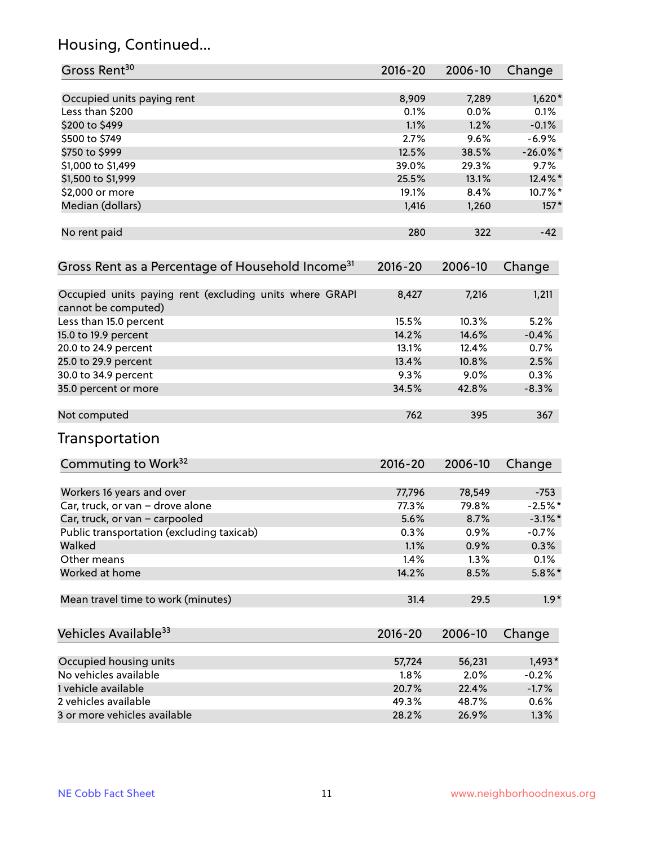## Housing, Continued...

| Gross Rent <sup>30</sup>                                                       | 2016-20     | 2006-10 | Change      |
|--------------------------------------------------------------------------------|-------------|---------|-------------|
| Occupied units paying rent                                                     | 8,909       | 7,289   | $1,620*$    |
| Less than \$200                                                                | 0.1%        | 0.0%    | $0.1\%$     |
| \$200 to \$499                                                                 | 1.1%        | 1.2%    | $-0.1%$     |
| \$500 to \$749                                                                 | 2.7%        | 9.6%    | $-6.9%$     |
| \$750 to \$999                                                                 | 12.5%       | 38.5%   | $-26.0\%$ * |
| \$1,000 to \$1,499                                                             | 39.0%       | 29.3%   | 9.7%        |
| \$1,500 to \$1,999                                                             | 25.5%       | 13.1%   | 12.4%*      |
| \$2,000 or more                                                                | 19.1%       | 8.4%    | 10.7%*      |
| Median (dollars)                                                               | 1,416       | 1,260   | $157*$      |
|                                                                                |             |         |             |
| No rent paid                                                                   | 280         | 322     | $-42$       |
| Gross Rent as a Percentage of Household Income <sup>31</sup>                   | $2016 - 20$ | 2006-10 | Change      |
| Occupied units paying rent (excluding units where GRAPI<br>cannot be computed) | 8,427       | 7,216   | 1,211       |
| Less than 15.0 percent                                                         | 15.5%       | 10.3%   | 5.2%        |
| 15.0 to 19.9 percent                                                           | 14.2%       | 14.6%   | $-0.4%$     |
| 20.0 to 24.9 percent                                                           | 13.1%       | 12.4%   | 0.7%        |
| 25.0 to 29.9 percent                                                           | 13.4%       | 10.8%   | 2.5%        |
| 30.0 to 34.9 percent                                                           | 9.3%        | 9.0%    | 0.3%        |
| 35.0 percent or more                                                           | 34.5%       | 42.8%   | $-8.3%$     |
| Not computed                                                                   | 762         | 395     | 367         |
| Transportation                                                                 |             |         |             |
| Commuting to Work <sup>32</sup>                                                | 2016-20     | 2006-10 | Change      |
| Workers 16 years and over                                                      | 77,796      | 78,549  | $-753$      |
| Car, truck, or van - drove alone                                               | 77.3%       | 79.8%   | $-2.5%$ *   |
| Car, truck, or van - carpooled                                                 | 5.6%        | 8.7%    | $-3.1\%$ *  |
| Public transportation (excluding taxicab)                                      | 0.3%        | 0.9%    | $-0.7%$     |
| Walked                                                                         | 1.1%        | 0.9%    | 0.3%        |
| Other means                                                                    | 1.4%        | 1.3%    | 0.1%        |
| Worked at home                                                                 | 14.2%       | 8.5%    | $5.8\%$ *   |
| Mean travel time to work (minutes)                                             | 31.4        | 29.5    | $1.9*$      |
| Vehicles Available <sup>33</sup>                                               | $2016 - 20$ | 2006-10 | Change      |
| Occupied housing units                                                         | 57,724      | 56,231  | $1,493*$    |
| No vehicles available                                                          | 1.8%        | 2.0%    | $-0.2%$     |
| 1 vehicle available                                                            | 20.7%       | 22.4%   | $-1.7%$     |
| 2 vehicles available                                                           | 49.3%       | 48.7%   | 0.6%        |
| 3 or more vehicles available                                                   | 28.2%       | 26.9%   | 1.3%        |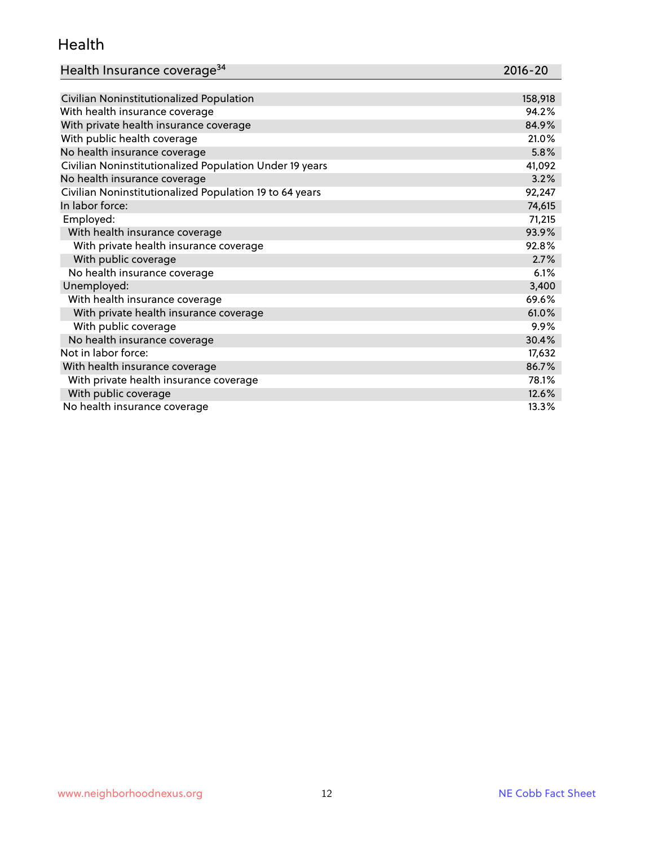#### Health

| Health Insurance coverage <sup>34</sup> | 2016-20 |
|-----------------------------------------|---------|
|-----------------------------------------|---------|

| Civilian Noninstitutionalized Population                | 158,918 |
|---------------------------------------------------------|---------|
| With health insurance coverage                          | 94.2%   |
| With private health insurance coverage                  | 84.9%   |
| With public health coverage                             | 21.0%   |
| No health insurance coverage                            | 5.8%    |
| Civilian Noninstitutionalized Population Under 19 years | 41,092  |
| No health insurance coverage                            | 3.2%    |
| Civilian Noninstitutionalized Population 19 to 64 years | 92,247  |
| In labor force:                                         | 74,615  |
| Employed:                                               | 71,215  |
| With health insurance coverage                          | 93.9%   |
| With private health insurance coverage                  | 92.8%   |
| With public coverage                                    | 2.7%    |
| No health insurance coverage                            | 6.1%    |
| Unemployed:                                             | 3,400   |
| With health insurance coverage                          | 69.6%   |
| With private health insurance coverage                  | 61.0%   |
| With public coverage                                    | 9.9%    |
| No health insurance coverage                            | 30.4%   |
| Not in labor force:                                     | 17,632  |
| With health insurance coverage                          | 86.7%   |
| With private health insurance coverage                  | 78.1%   |
| With public coverage                                    | 12.6%   |
| No health insurance coverage                            | 13.3%   |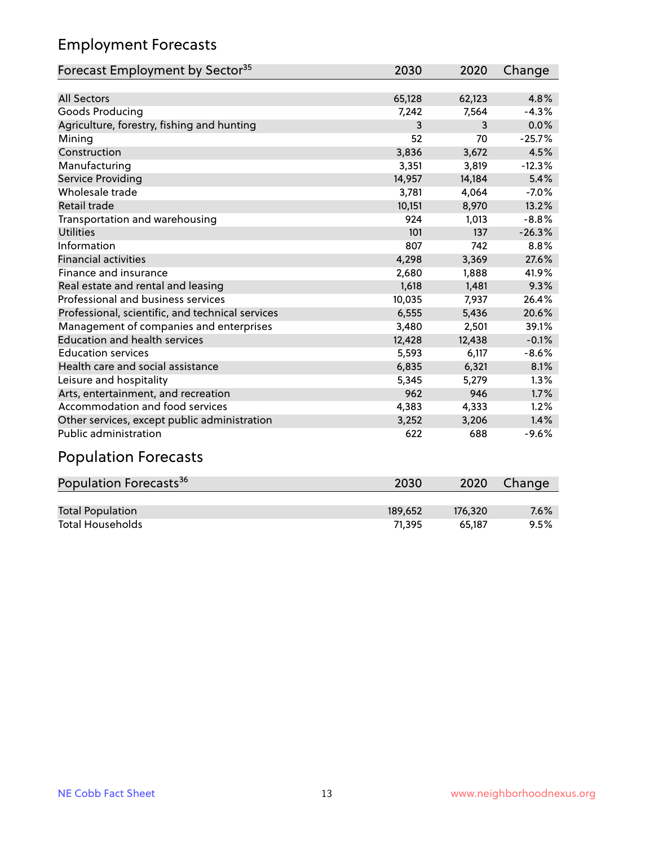## Employment Forecasts

| Forecast Employment by Sector <sup>35</sup>      | 2030   | 2020   | Change   |
|--------------------------------------------------|--------|--------|----------|
|                                                  |        |        |          |
| <b>All Sectors</b>                               | 65,128 | 62,123 | 4.8%     |
| Goods Producing                                  | 7,242  | 7,564  | $-4.3%$  |
| Agriculture, forestry, fishing and hunting       | 3      | 3      | 0.0%     |
| Mining                                           | 52     | 70     | $-25.7%$ |
| Construction                                     | 3,836  | 3,672  | 4.5%     |
| Manufacturing                                    | 3,351  | 3,819  | $-12.3%$ |
| Service Providing                                | 14,957 | 14,184 | 5.4%     |
| Wholesale trade                                  | 3,781  | 4,064  | $-7.0%$  |
| <b>Retail trade</b>                              | 10,151 | 8,970  | 13.2%    |
| Transportation and warehousing                   | 924    | 1,013  | $-8.8%$  |
| <b>Utilities</b>                                 | 101    | 137    | $-26.3%$ |
| Information                                      | 807    | 742    | 8.8%     |
| <b>Financial activities</b>                      | 4,298  | 3,369  | 27.6%    |
| Finance and insurance                            | 2,680  | 1,888  | 41.9%    |
| Real estate and rental and leasing               | 1,618  | 1,481  | 9.3%     |
| Professional and business services               | 10,035 | 7,937  | 26.4%    |
| Professional, scientific, and technical services | 6,555  | 5,436  | 20.6%    |
| Management of companies and enterprises          | 3,480  | 2,501  | 39.1%    |
| <b>Education and health services</b>             | 12,428 | 12,438 | $-0.1%$  |
| <b>Education services</b>                        | 5,593  | 6,117  | $-8.6%$  |
| Health care and social assistance                | 6,835  | 6,321  | 8.1%     |
| Leisure and hospitality                          | 5,345  | 5,279  | 1.3%     |
| Arts, entertainment, and recreation              | 962    | 946    | 1.7%     |
| Accommodation and food services                  | 4,383  | 4,333  | 1.2%     |
| Other services, except public administration     | 3,252  | 3,206  | 1.4%     |
| Public administration                            | 622    | 688    | $-9.6%$  |
| للمحمد مسجل مستلمل بمسحا                         |        |        |          |

#### Population Forecasts

| Population Forecasts <sup>36</sup> | 2030    | 2020    | Change |
|------------------------------------|---------|---------|--------|
|                                    |         |         |        |
| <b>Total Population</b>            | 189.652 | 176.320 | 7.6%   |
| Total Households                   | 71.395  | 65.187  | 9.5%   |